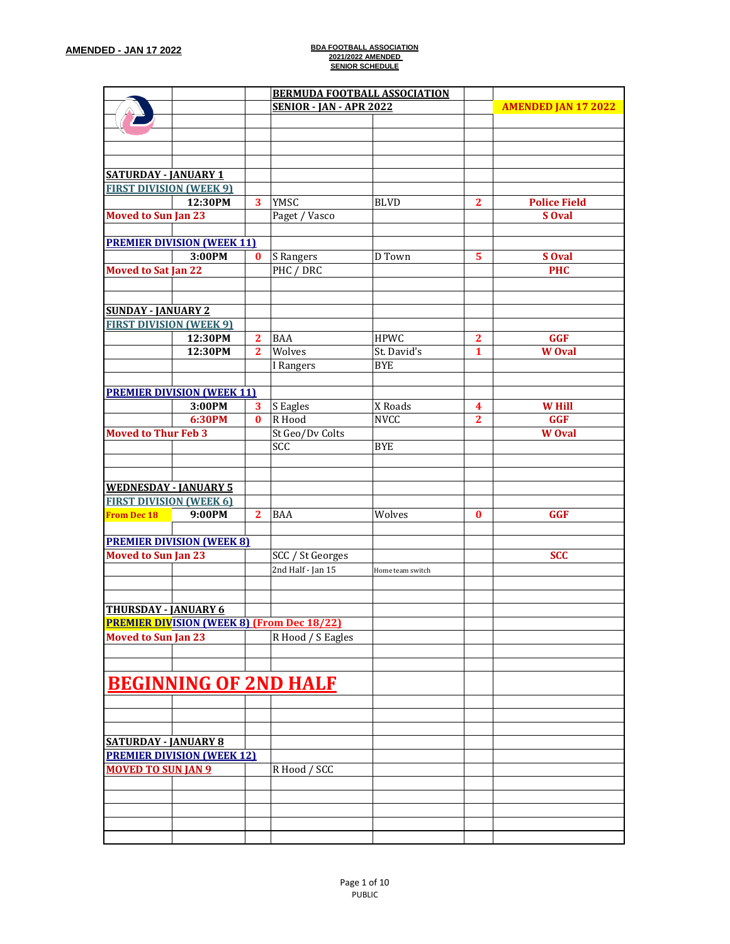|                                |                                   |                | <b>BERMUDA FOOTBALL ASSOCIATION</b>               |                  |                |                            |
|--------------------------------|-----------------------------------|----------------|---------------------------------------------------|------------------|----------------|----------------------------|
|                                |                                   |                | <b>SENIOR - JAN - APR 2022</b>                    |                  |                | <b>AMENDED JAN 17 2022</b> |
|                                |                                   |                |                                                   |                  |                |                            |
|                                |                                   |                |                                                   |                  |                |                            |
|                                |                                   |                |                                                   |                  |                |                            |
|                                |                                   |                |                                                   |                  |                |                            |
| <b>SATURDAY - JANUARY 1</b>    |                                   |                |                                                   |                  |                |                            |
| <b>FIRST DIVISION (WEEK 9)</b> |                                   |                |                                                   |                  |                |                            |
|                                | 12:30PM                           | 3              | YMSC                                              | <b>BLVD</b>      | $\mathbf{2}$   | <b>Police Field</b>        |
| <b>Moved to Sun Jan 23</b>     |                                   |                | Paget / Vasco                                     |                  |                | S Oval                     |
|                                |                                   |                |                                                   |                  |                |                            |
|                                | <b>PREMIER DIVISION (WEEK 11)</b> |                |                                                   |                  |                |                            |
|                                | 3:00PM                            | $\bf{0}$       | S Rangers                                         | D Town           | 5              | S Oval                     |
| <b>Moved to Sat Jan 22</b>     |                                   |                | PHC / DRC                                         |                  |                | <b>PHC</b>                 |
|                                |                                   |                |                                                   |                  |                |                            |
|                                |                                   |                |                                                   |                  |                |                            |
| <b>SUNDAY - JANUARY 2</b>      |                                   |                |                                                   |                  |                |                            |
| <b>FIRST DIVISION (WEEK 9)</b> |                                   |                |                                                   |                  |                |                            |
|                                | 12:30PM                           | $\overline{2}$ | <b>BAA</b>                                        | <b>HPWC</b>      | $\mathbf{2}$   | <b>GGF</b>                 |
|                                | 12:30PM                           | $\mathbf{2}$   | Wolves                                            | St. David's      | 1              | <b>W</b> Oval              |
|                                |                                   |                | I Rangers                                         | <b>BYE</b>       |                |                            |
|                                |                                   |                |                                                   |                  |                |                            |
|                                |                                   |                |                                                   |                  |                |                            |
|                                | <b>PREMIER DIVISION (WEEK 11)</b> |                |                                                   |                  |                |                            |
|                                | 3:00PM                            | 3              | S Eagles                                          | X Roads          | 4              | <b>W</b> Hill              |
|                                | 6:30PM                            | $\bf{0}$       | R Hood                                            | <b>NVCC</b>      | $\overline{2}$ | <b>GGF</b>                 |
| <b>Moved to Thur Feb 3</b>     |                                   |                | St Geo/Dv Colts                                   |                  |                | <b>W</b> Oval              |
|                                |                                   |                | SCC                                               | <b>BYE</b>       |                |                            |
|                                |                                   |                |                                                   |                  |                |                            |
|                                |                                   |                |                                                   |                  |                |                            |
| <b>WEDNESDAY - JANUARY 5</b>   |                                   |                |                                                   |                  |                |                            |
| <b>FIRST DIVISION (WEEK 6)</b> |                                   |                |                                                   |                  |                |                            |
| <b>From Dec 18</b>             | 9:00PM                            | $\overline{2}$ | <b>BAA</b>                                        | Wolves           | $\bf{0}$       | <b>GGF</b>                 |
|                                |                                   |                |                                                   |                  |                |                            |
|                                | <b>PREMIER DIVISION (WEEK 8)</b>  |                |                                                   |                  |                |                            |
| <b>Moved to Sun Jan 23</b>     |                                   |                | SCC / St Georges                                  |                  |                | <b>SCC</b>                 |
|                                |                                   |                | 2nd Half - Jan 15                                 | Home team switch |                |                            |
|                                |                                   |                |                                                   |                  |                |                            |
|                                |                                   |                |                                                   |                  |                |                            |
| <b>THURSDAY - JANUARY 6</b>    |                                   |                |                                                   |                  |                |                            |
|                                |                                   |                | <b>PREMIER DIVISION (WEEK 8) (From Dec 18/22)</b> |                  |                |                            |
| <b>Moved to Sun Jan 23</b>     |                                   |                | R Hood / S Eagles                                 |                  |                |                            |
|                                |                                   |                |                                                   |                  |                |                            |
|                                |                                   |                |                                                   |                  |                |                            |
|                                |                                   |                |                                                   |                  |                |                            |
|                                | <b>BEGINNING OF 2ND HALF</b>      |                |                                                   |                  |                |                            |
|                                |                                   |                |                                                   |                  |                |                            |
|                                |                                   |                |                                                   |                  |                |                            |
|                                |                                   |                |                                                   |                  |                |                            |
| <b>SATURDAY - JANUARY 8</b>    |                                   |                |                                                   |                  |                |                            |
|                                | <b>PREMIER DIVISION (WEEK 12)</b> |                |                                                   |                  |                |                            |
| <b>MOVED TO SUN JAN 9</b>      |                                   |                | R Hood / SCC                                      |                  |                |                            |
|                                |                                   |                |                                                   |                  |                |                            |
|                                |                                   |                |                                                   |                  |                |                            |
|                                |                                   |                |                                                   |                  |                |                            |
|                                |                                   |                |                                                   |                  |                |                            |
|                                |                                   |                |                                                   |                  |                |                            |
|                                |                                   |                |                                                   |                  |                |                            |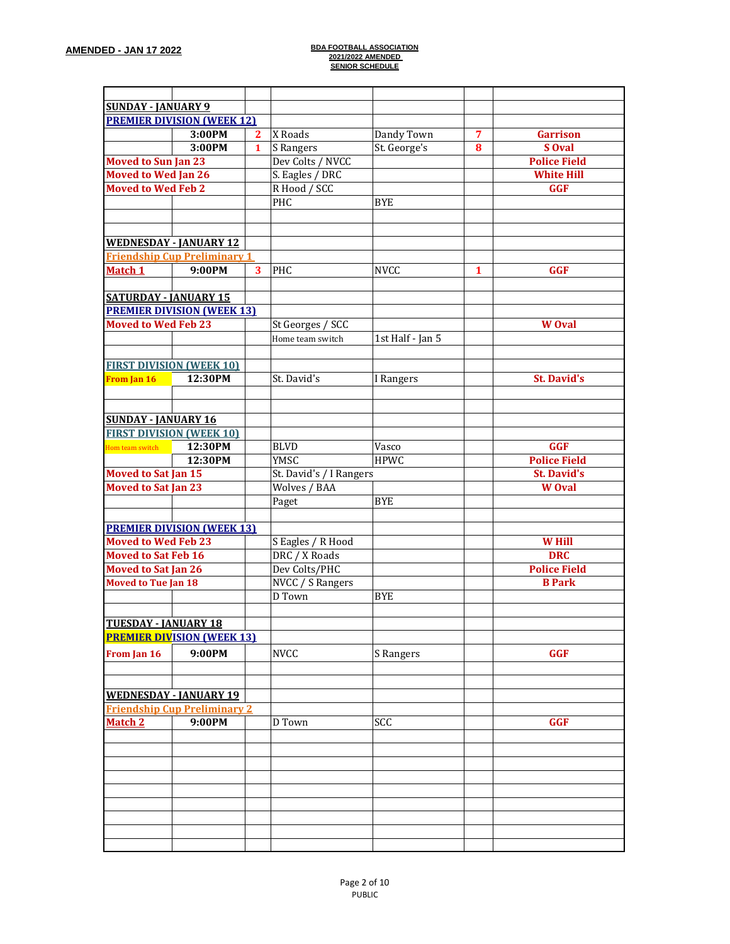| <b>SUNDAY - JANUARY 9</b>    |                                     |              |                                 |                  |   |                     |
|------------------------------|-------------------------------------|--------------|---------------------------------|------------------|---|---------------------|
|                              | <b>PREMIER DIVISION (WEEK 12)</b>   |              |                                 |                  |   |                     |
|                              | 3:00PM                              | $\mathbf{2}$ | X Roads                         | Dandy Town       | 7 | <b>Garrison</b>     |
|                              | 3:00PM                              | $\mathbf{1}$ | S Rangers                       | St. George's     | 8 | S Oval              |
| <b>Moved to Sun Jan 23</b>   |                                     |              | Dev Colts / NVCC                |                  |   | <b>Police Field</b> |
| <b>Moved to Wed Jan 26</b>   |                                     |              |                                 |                  |   | <b>White Hill</b>   |
| <b>Moved to Wed Feb 2</b>    |                                     |              | S. Eagles / DRC<br>R Hood / SCC |                  |   | <b>GGF</b>          |
|                              |                                     |              | PHC                             | <b>BYE</b>       |   |                     |
|                              |                                     |              |                                 |                  |   |                     |
|                              |                                     |              |                                 |                  |   |                     |
|                              |                                     |              |                                 |                  |   |                     |
|                              | <b>WEDNESDAY - JANUARY 12</b>       |              |                                 |                  |   |                     |
|                              | <b>Friendship Cup Preliminary 1</b> |              |                                 |                  |   |                     |
| Match 1                      | 9:00PM                              | 3            | PHC                             | <b>NVCC</b>      | 1 | <b>GGF</b>          |
|                              |                                     |              |                                 |                  |   |                     |
| <b>SATURDAY - JANUARY 15</b> |                                     |              |                                 |                  |   |                     |
|                              | <b>PREMIER DIVISION (WEEK 13)</b>   |              |                                 |                  |   |                     |
| <b>Moved to Wed Feb 23</b>   |                                     |              | St Georges / SCC                |                  |   | <b>W</b> Oval       |
|                              |                                     |              | Home team switch                | 1st Half - Jan 5 |   |                     |
|                              |                                     |              |                                 |                  |   |                     |
|                              | <b>FIRST DIVISION (WEEK 10)</b>     |              |                                 |                  |   |                     |
| From Jan 16                  | 12:30PM                             |              | St. David's                     | I Rangers        |   | <b>St. David's</b>  |
|                              |                                     |              |                                 |                  |   |                     |
|                              |                                     |              |                                 |                  |   |                     |
| <b>SUNDAY - JANUARY 16</b>   |                                     |              |                                 |                  |   |                     |
|                              | <b>FIRST DIVISION (WEEK 10)</b>     |              |                                 |                  |   |                     |
| Hom team switch              | 12:30PM                             |              | <b>BLVD</b>                     | Vasco            |   | <b>GGF</b>          |
|                              | 12:30PM                             |              | YMSC                            | <b>HPWC</b>      |   | <b>Police Field</b> |
| <b>Moved to Sat Jan 15</b>   |                                     |              | St. David's / I Rangers         |                  |   | <b>St. David's</b>  |
| <b>Moved to Sat Jan 23</b>   |                                     |              | Wolves / BAA                    |                  |   | <b>W</b> Oval       |
|                              |                                     |              | Paget                           | <b>BYE</b>       |   |                     |
|                              |                                     |              |                                 |                  |   |                     |
|                              | <b>PREMIER DIVISION (WEEK 13)</b>   |              |                                 |                  |   |                     |
| <b>Moved to Wed Feb 23</b>   |                                     |              | S Eagles / R Hood               |                  |   | <b>W</b> Hill       |
| <b>Moved to Sat Feb 16</b>   |                                     |              | DRC / X Roads                   |                  |   | <b>DRC</b>          |
| <b>Moved to Sat Jan 26</b>   |                                     |              | Dev Colts/PHC                   |                  |   | <b>Police Field</b> |
| <b>Moved to Tue Jan 18</b>   |                                     |              | NVCC / S Rangers                |                  |   | <b>B</b> Park       |
|                              |                                     |              | D Town                          | <b>BYE</b>       |   |                     |
|                              |                                     |              |                                 |                  |   |                     |
| <b>TUESDAY - JANUARY 18</b>  |                                     |              |                                 |                  |   |                     |
|                              | <b>PREMIER DIVISION (WEEK 13)</b>   |              |                                 |                  |   |                     |
| From Jan 16                  | 9:00PM                              |              | <b>NVCC</b>                     | S Rangers        |   | <b>GGF</b>          |
|                              |                                     |              |                                 |                  |   |                     |
|                              |                                     |              |                                 |                  |   |                     |
|                              | <b>WEDNESDAY - JANUARY 19</b>       |              |                                 |                  |   |                     |
|                              | <b>Friendship Cup Preliminary 2</b> |              |                                 |                  |   |                     |
| Match 2                      | 9:00PM                              |              | D Town                          | SCC              |   | <b>GGF</b>          |
|                              |                                     |              |                                 |                  |   |                     |
|                              |                                     |              |                                 |                  |   |                     |
|                              |                                     |              |                                 |                  |   |                     |
|                              |                                     |              |                                 |                  |   |                     |
|                              |                                     |              |                                 |                  |   |                     |
|                              |                                     |              |                                 |                  |   |                     |
|                              |                                     |              |                                 |                  |   |                     |
|                              |                                     |              |                                 |                  |   |                     |
|                              |                                     |              |                                 |                  |   |                     |
|                              |                                     |              |                                 |                  |   |                     |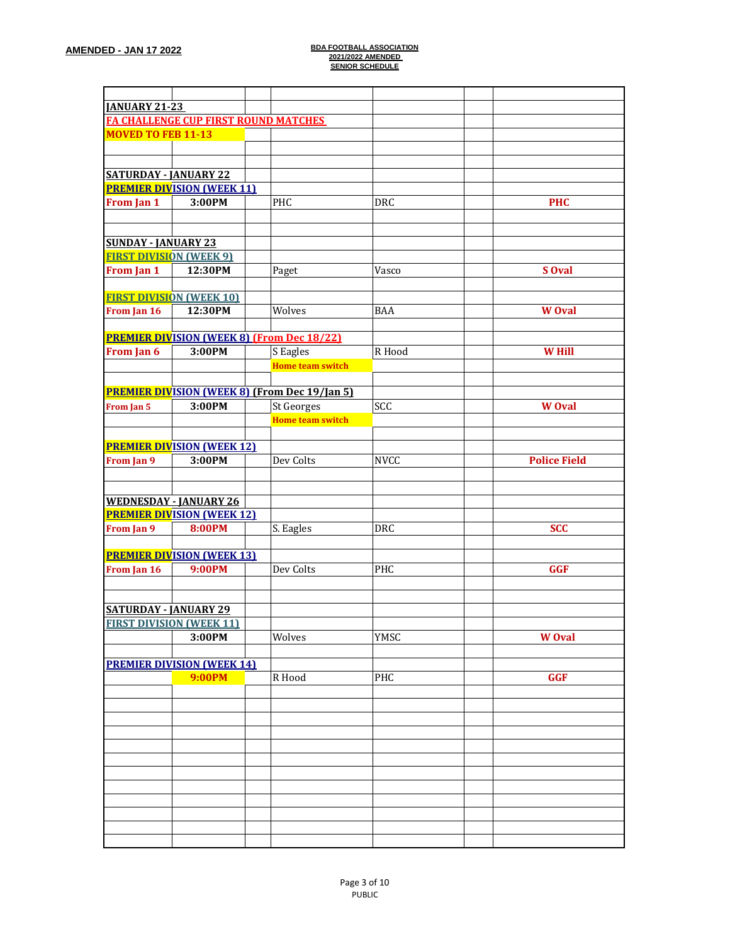| <b>JANUARY 21-23</b>            |                                   |                                                      |             |                     |
|---------------------------------|-----------------------------------|------------------------------------------------------|-------------|---------------------|
|                                 |                                   | <b>FA CHALLENGE CUP FIRST ROUND MATCHES</b>          |             |                     |
| <b>MOVED TO FEB 11-13</b>       |                                   |                                                      |             |                     |
|                                 |                                   |                                                      |             |                     |
|                                 |                                   |                                                      |             |                     |
| <b>SATURDAY - JANUARY 22</b>    |                                   |                                                      |             |                     |
|                                 | <b>PREMIER DIVISION (WEEK 11)</b> |                                                      |             |                     |
| From Jan 1                      | 3:00PM                            | PHC                                                  | <b>DRC</b>  | <b>PHC</b>          |
|                                 |                                   |                                                      |             |                     |
|                                 |                                   |                                                      |             |                     |
| <b>SUNDAY - JANUARY 23</b>      |                                   |                                                      |             |                     |
| <b>FIRST DIVISION (WEEK 9)</b>  |                                   |                                                      |             |                     |
| From Jan 1                      | 12:30PM                           | Paget                                                | Vasco       | S Oval              |
| <b>FIRST DIVISION (WEEK 10)</b> |                                   |                                                      |             |                     |
| From Jan 16                     | 12:30PM                           | Wolves                                               | <b>BAA</b>  | <b>W</b> Oval       |
|                                 |                                   |                                                      |             |                     |
|                                 |                                   | <b>PREMIER DIVISION (WEEK 8) (From Dec 18/22)</b>    |             |                     |
| From Jan 6                      | 3:00PM                            | S Eagles                                             | R Hood      | <b>W</b> Hill       |
|                                 |                                   | <b>Home team switch</b>                              |             |                     |
|                                 |                                   |                                                      |             |                     |
|                                 |                                   | <b>PREMIER DIVISION (WEEK 8) (From Dec 19/Jan 5)</b> |             |                     |
| From Jan 5                      | 3:00PM                            | <b>St Georges</b>                                    | SCC         | <b>W</b> Oval       |
|                                 |                                   | <b>Home team switch</b>                              |             |                     |
|                                 |                                   |                                                      |             |                     |
|                                 | <b>PREMIER DIVISION (WEEK 12)</b> |                                                      |             |                     |
| From Jan 9                      | 3:00PM                            | Dev Colts                                            | <b>NVCC</b> | <b>Police Field</b> |
|                                 |                                   |                                                      |             |                     |
|                                 |                                   |                                                      |             |                     |
| <b>WEDNESDAY - JANUARY 26</b>   |                                   |                                                      |             |                     |
|                                 | <b>PREMIER DIVISION (WEEK 12)</b> |                                                      |             |                     |
| From Jan 9                      | <b>8:00PM</b>                     | S. Eagles                                            | <b>DRC</b>  | <b>SCC</b>          |
|                                 |                                   |                                                      |             |                     |
|                                 | <b>PREMIER DIVISION (WEEK 13)</b> |                                                      |             |                     |
| From Jan 16                     | 9:00PM                            | Dev Colts                                            | PHC         | <b>GGF</b>          |
|                                 |                                   |                                                      |             |                     |
|                                 |                                   |                                                      |             |                     |
| <b>SATURDAY - JANUARY 29</b>    |                                   |                                                      |             |                     |
| <u>FIRST DIVISION (WEEK 11)</u> |                                   |                                                      |             |                     |
|                                 | 3:00PM                            | Wolves                                               | <b>YMSC</b> | <b>W</b> Oval       |
|                                 |                                   |                                                      |             |                     |
|                                 | <b>PREMIER DIVISION (WEEK 14)</b> |                                                      |             |                     |
|                                 | <b>9:00PM</b>                     | R Hood                                               | PHC         | <b>GGF</b>          |
|                                 |                                   |                                                      |             |                     |
|                                 |                                   |                                                      |             |                     |
|                                 |                                   |                                                      |             |                     |
|                                 |                                   |                                                      |             |                     |
|                                 |                                   |                                                      |             |                     |
|                                 |                                   |                                                      |             |                     |
|                                 |                                   |                                                      |             |                     |
|                                 |                                   |                                                      |             |                     |
|                                 |                                   |                                                      |             |                     |
|                                 |                                   |                                                      |             |                     |
|                                 |                                   |                                                      |             |                     |
|                                 |                                   |                                                      |             |                     |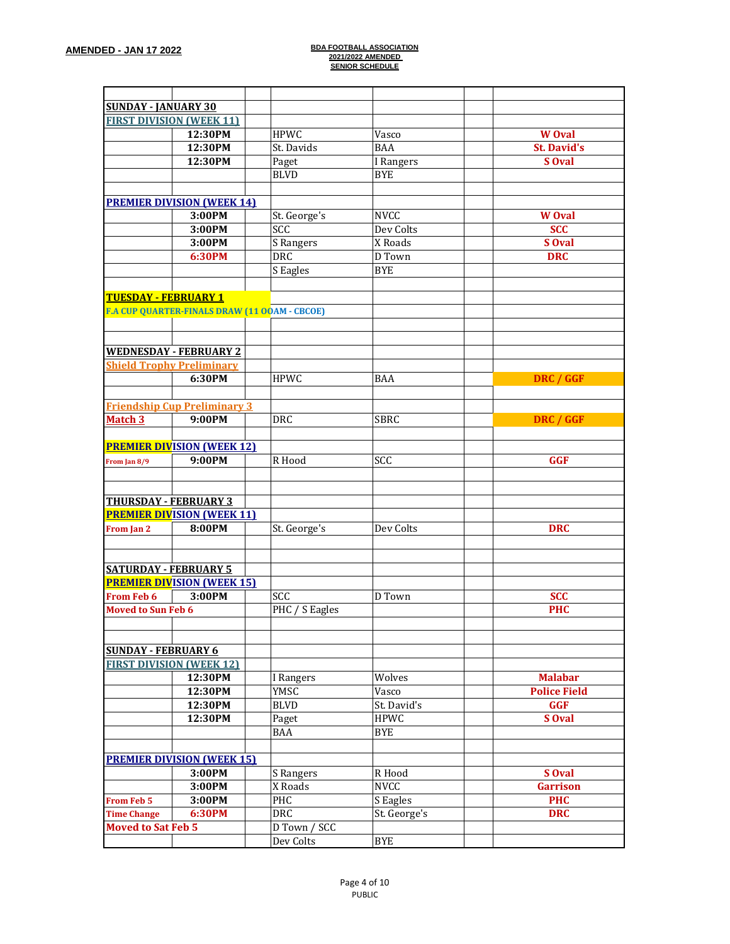| <b>SUNDAY - JANUARY 30</b>   |                                               |                |                  |                     |
|------------------------------|-----------------------------------------------|----------------|------------------|---------------------|
|                              | <b>FIRST DIVISION (WEEK 11)</b>               |                |                  |                     |
|                              | 12:30PM                                       | <b>HPWC</b>    | Vasco            | <b>W</b> Oval       |
|                              | 12:30PM                                       | St. Davids     | <b>BAA</b>       | <b>St. David's</b>  |
|                              | 12:30PM                                       | Paget          | I Rangers        | S Oval              |
|                              |                                               | <b>BLVD</b>    | <b>BYE</b>       |                     |
|                              |                                               |                |                  |                     |
|                              | <b>PREMIER DIVISION (WEEK 14)</b>             |                |                  |                     |
|                              | 3:00PM                                        | St. George's   | <b>NVCC</b>      | <b>W</b> Oval       |
|                              | 3:00PM                                        | SCC            | Dev Colts        | <b>SCC</b>          |
|                              | 3:00PM                                        | S Rangers      | X Roads          | S Oval              |
|                              | 6:30PM                                        | DRC            | D Town           | <b>DRC</b>          |
|                              |                                               | S Eagles       | <b>BYE</b>       |                     |
|                              |                                               |                |                  |                     |
| <b>TUESDAY - FEBRUARY 1</b>  |                                               |                |                  |                     |
|                              | F.A CUP QUARTER-FINALS DRAW (11 OOAM - CBCOE) |                |                  |                     |
|                              |                                               |                |                  |                     |
|                              |                                               |                |                  |                     |
|                              | <b>WEDNESDAY - FEBRUARY 2</b>                 |                |                  |                     |
|                              | <b>Shield Trophy Preliminary</b>              |                |                  |                     |
|                              | 6:30PM                                        | <b>HPWC</b>    | BAA              | DRC / GGF           |
|                              |                                               |                |                  |                     |
|                              | <b>Friendship Cup Preliminary 3</b>           |                |                  |                     |
| <b>Match 3</b>               | 9:00PM                                        | <b>DRC</b>     | <b>SBRC</b>      | DRC / GGF           |
|                              |                                               |                |                  |                     |
|                              | <b>PREMIER DIVISION (WEEK 12)</b>             |                |                  |                     |
| From Jan 8/9                 | 9:00PM                                        | R Hood         | $\overline{SCC}$ | <b>GGF</b>          |
|                              |                                               |                |                  |                     |
|                              |                                               |                |                  |                     |
| <b>THURSDAY - FEBRUARY 3</b> |                                               |                |                  |                     |
|                              | <b>PREMIER DIVISION (WEEK 11)</b>             |                |                  |                     |
| From Jan 2                   | 8:00PM                                        | St. George's   | Dev Colts        | <b>DRC</b>          |
|                              |                                               |                |                  |                     |
|                              |                                               |                |                  |                     |
| <b>SATURDAY - FEBRUARY 5</b> |                                               |                |                  |                     |
|                              | <b>PREMIER DIVISION (WEEK 15)</b>             |                |                  |                     |
| <b>From Feb 6</b>            | 3:00PM                                        | SCC            | D Town           | <b>SCC</b>          |
| <b>Moved to Sun Feb 6</b>    |                                               | PHC / S Eagles |                  | <b>PHC</b>          |
|                              |                                               |                |                  |                     |
|                              |                                               |                |                  |                     |
| <b>SUNDAY - FEBRUARY 6</b>   |                                               |                |                  |                     |
|                              | <b>FIRST DIVISION (WEEK 12)</b>               |                |                  |                     |
|                              | 12:30PM                                       | I Rangers      | Wolves           | <b>Malabar</b>      |
|                              | 12:30PM                                       | YMSC           | Vasco            | <b>Police Field</b> |
|                              | 12:30PM                                       | <b>BLVD</b>    | St. David's      | <b>GGF</b>          |
|                              | 12:30PM                                       | Paget          | <b>HPWC</b>      | S Oval              |
|                              |                                               | <b>BAA</b>     | <b>BYE</b>       |                     |
|                              |                                               |                |                  |                     |
|                              | <b>PREMIER DIVISION (WEEK 15)</b>             |                |                  |                     |
|                              | 3:00PM                                        | S Rangers      | R Hood           | S Oval              |
|                              | 3:00PM                                        | X Roads        | <b>NVCC</b>      | <b>Garrison</b>     |
| <b>From Feb 5</b>            | 3:00PM                                        | PHC            | S Eagles         | <b>PHC</b>          |
| <b>Time Change</b>           | 6:30PM                                        | <b>DRC</b>     | St. George's     | <b>DRC</b>          |
| <b>Moved to Sat Feb 5</b>    |                                               | D Town / SCC   |                  |                     |
|                              |                                               | Dev Colts      | <b>BYE</b>       |                     |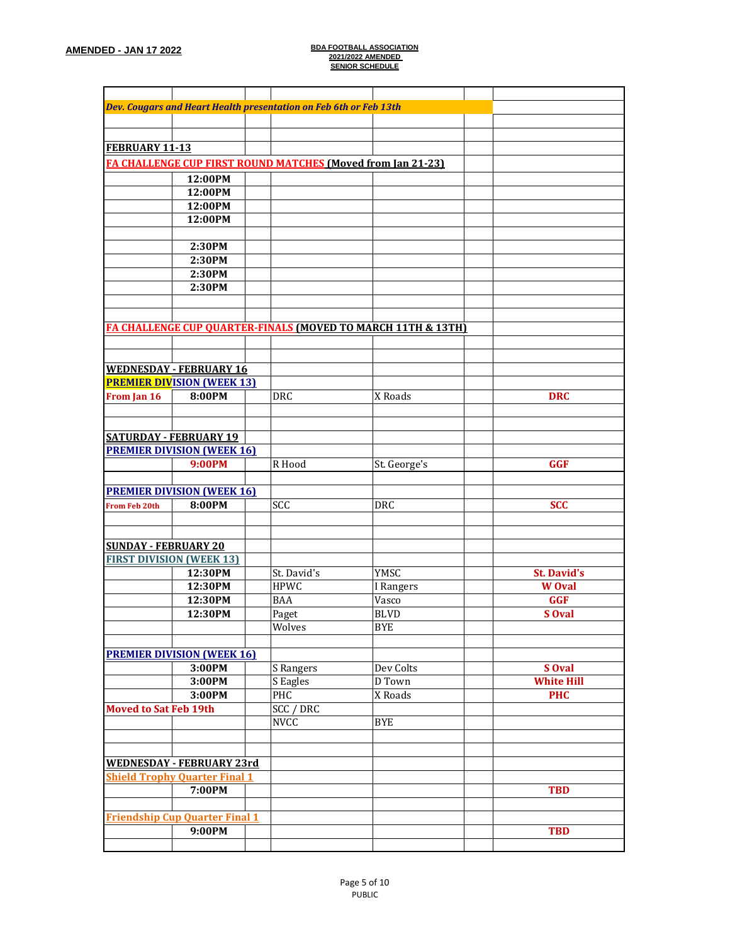|                              |                                       | Dev. Cougars and Heart Health presentation on Feb 6th or Feb 13th |              |                    |
|------------------------------|---------------------------------------|-------------------------------------------------------------------|--------------|--------------------|
|                              |                                       |                                                                   |              |                    |
|                              |                                       |                                                                   |              |                    |
| FEBRUARY 11-13               |                                       |                                                                   |              |                    |
|                              |                                       | FA CHALLENGE CUP FIRST ROUND MATCHES (Moved from Jan 21-23)       |              |                    |
|                              | 12:00PM                               |                                                                   |              |                    |
|                              | 12:00PM                               |                                                                   |              |                    |
|                              | 12:00PM                               |                                                                   |              |                    |
|                              | 12:00PM                               |                                                                   |              |                    |
|                              |                                       |                                                                   |              |                    |
|                              | 2:30PM                                |                                                                   |              |                    |
|                              | 2:30PM                                |                                                                   |              |                    |
|                              | 2:30PM                                |                                                                   |              |                    |
|                              | 2:30PM                                |                                                                   |              |                    |
|                              |                                       |                                                                   |              |                    |
|                              |                                       |                                                                   |              |                    |
|                              |                                       | FA CHALLENGE CUP QUARTER-FINALS (MOVED TO MARCH 11TH & 13TH)      |              |                    |
|                              |                                       |                                                                   |              |                    |
|                              |                                       |                                                                   |              |                    |
|                              | <b>WEDNESDAY - FEBRUARY 16</b>        |                                                                   |              |                    |
|                              | <b>PREMIER DIVISION (WEEK 13)</b>     |                                                                   |              |                    |
| From Jan 16                  | 8:00PM                                | <b>DRC</b>                                                        | X Roads      | <b>DRC</b>         |
|                              |                                       |                                                                   |              |                    |
|                              |                                       |                                                                   |              |                    |
|                              | <b>SATURDAY - FEBRUARY 19</b>         |                                                                   |              |                    |
|                              | <b>PREMIER DIVISION (WEEK 16)</b>     |                                                                   |              |                    |
|                              | <b>9:00PM</b>                         | R Hood                                                            | St. George's | <b>GGF</b>         |
|                              |                                       |                                                                   |              |                    |
|                              | <b>PREMIER DIVISION (WEEK 16)</b>     |                                                                   |              |                    |
| <b>From Feb 20th</b>         | 8:00PM                                | SCC                                                               | <b>DRC</b>   | <b>SCC</b>         |
|                              |                                       |                                                                   |              |                    |
|                              |                                       |                                                                   |              |                    |
| <b>SUNDAY - FEBRUARY 20</b>  |                                       |                                                                   |              |                    |
|                              | <b>FIRST DIVISION (WEEK 13)</b>       |                                                                   |              |                    |
|                              | 12:30PM                               | St. David's                                                       | YMSC         | <b>St. David's</b> |
|                              | 12:30PM                               | <b>HPWC</b>                                                       | I Rangers    | <b>W</b> Oval      |
|                              | 12:30PM                               | <b>BAA</b>                                                        | Vasco        | <b>GGF</b>         |
|                              | 12:30PM                               | Paget                                                             | <b>BLVD</b>  | S Oval             |
|                              |                                       | Wolves                                                            | <b>BYE</b>   |                    |
|                              |                                       |                                                                   |              |                    |
|                              | <b>PREMIER DIVISION (WEEK 16)</b>     |                                                                   |              |                    |
|                              | 3:00PM                                | S Rangers                                                         | Dev Colts    | S Oval             |
|                              | 3:00PM                                | S Eagles                                                          | D Town       | <b>White Hill</b>  |
|                              | 3:00PM                                | PHC                                                               | X Roads      | <b>PHC</b>         |
| <b>Moved to Sat Feb 19th</b> |                                       | <b>SCC / DRC</b>                                                  |              |                    |
|                              |                                       | <b>NVCC</b>                                                       | <b>BYE</b>   |                    |
|                              |                                       |                                                                   |              |                    |
|                              |                                       |                                                                   |              |                    |
|                              | <b>WEDNESDAY - FEBRUARY 23rd</b>      |                                                                   |              |                    |
|                              | <b>Shield Trophy Quarter Final 1</b>  |                                                                   |              |                    |
|                              | 7:00PM                                |                                                                   |              | <b>TBD</b>         |
|                              |                                       |                                                                   |              |                    |
|                              | <b>Friendship Cup Quarter Final 1</b> |                                                                   |              |                    |
|                              | 9:00PM                                |                                                                   |              | <b>TBD</b>         |
|                              |                                       |                                                                   |              |                    |
|                              |                                       |                                                                   |              |                    |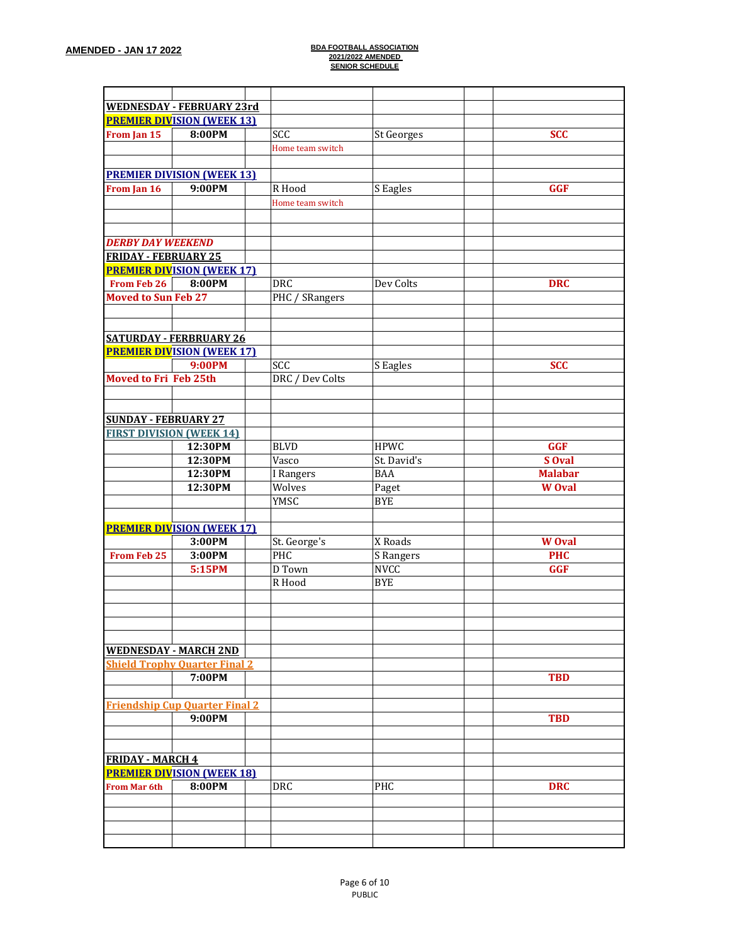|                              | <b>WEDNESDAY - FEBRUARY 23rd</b>      |                  |                   |                |
|------------------------------|---------------------------------------|------------------|-------------------|----------------|
|                              | <b>PREMIER DIVISION (WEEK 13)</b>     |                  |                   |                |
| From Jan 15                  | 8:00PM                                | SCC              | <b>St Georges</b> | <b>SCC</b>     |
|                              |                                       |                  |                   |                |
|                              |                                       | Home team switch |                   |                |
|                              |                                       |                  |                   |                |
|                              | <b>PREMIER DIVISION (WEEK 13)</b>     |                  |                   |                |
| From Jan 16                  | 9:00PM                                | R Hood           | S Eagles          | <b>GGF</b>     |
|                              |                                       | Home team switch |                   |                |
|                              |                                       |                  |                   |                |
|                              |                                       |                  |                   |                |
| <b>DERBY DAY WEEKEND</b>     |                                       |                  |                   |                |
| <b>FRIDAY - FEBRUARY 25</b>  |                                       |                  |                   |                |
|                              | <b>PREMIER DIVISION (WEEK 17)</b>     |                  |                   |                |
| <b>From Feb 26</b>           | 8:00PM                                | <b>DRC</b>       | Dev Colts         | <b>DRC</b>     |
| <b>Moved to Sun Feb 27</b>   |                                       | PHC / SRangers   |                   |                |
|                              |                                       |                  |                   |                |
|                              |                                       |                  |                   |                |
|                              | <b>SATURDAY - FERBRUARY 26</b>        |                  |                   |                |
|                              | <b>PREMIER DIVISION (WEEK 17)</b>     |                  |                   |                |
|                              | <b>9:00PM</b>                         | SCC              | S Eagles          | <b>SCC</b>     |
| <b>Moved to Fri Feb 25th</b> |                                       | DRC / Dev Colts  |                   |                |
|                              |                                       |                  |                   |                |
|                              |                                       |                  |                   |                |
| <b>SUNDAY - FEBRUARY 27</b>  |                                       |                  |                   |                |
|                              | <b>FIRST DIVISION (WEEK 14)</b>       |                  |                   |                |
|                              | 12:30PM                               | <b>BLVD</b>      | <b>HPWC</b>       | <b>GGF</b>     |
|                              | 12:30PM                               | Vasco            | St. David's       | S Oval         |
|                              | 12:30PM                               | I Rangers        | <b>BAA</b>        | <b>Malabar</b> |
|                              | 12:30PM                               | Wolves           |                   |                |
|                              |                                       |                  | Paget             | <b>W</b> Oval  |
|                              |                                       | YMSC             | <b>BYE</b>        |                |
|                              |                                       |                  |                   |                |
|                              | <b>PREMIER DIVISION (WEEK 17)</b>     |                  |                   |                |
|                              | 3:00PM                                | St. George's     | X Roads           | <b>W</b> Oval  |
| <b>From Feb 25</b>           | 3:00PM                                | PHC              | S Rangers         | <b>PHC</b>     |
|                              | 5:15PM                                | D Town           | <b>NVCC</b>       | <b>GGF</b>     |
|                              |                                       | R Hood           | <b>BYE</b>        |                |
|                              |                                       |                  |                   |                |
|                              |                                       |                  |                   |                |
|                              |                                       |                  |                   |                |
|                              |                                       |                  |                   |                |
|                              | <b>WEDNESDAY - MARCH 2ND</b>          |                  |                   |                |
|                              | <b>Shield Trophy Quarter Final 2</b>  |                  |                   |                |
|                              | 7:00PM                                |                  |                   | <b>TBD</b>     |
|                              |                                       |                  |                   |                |
|                              | <b>Friendship Cup Quarter Final 2</b> |                  |                   |                |
|                              | 9:00PM                                |                  |                   | <b>TBD</b>     |
|                              |                                       |                  |                   |                |
|                              |                                       |                  |                   |                |
| <b>FRIDAY - MARCH 4</b>      |                                       |                  |                   |                |
|                              | <b>PREMIER DIVISION (WEEK 18)</b>     |                  |                   |                |
| <b>From Mar 6th</b>          | 8:00PM                                | <b>DRC</b>       | <b>PHC</b>        | <b>DRC</b>     |
|                              |                                       |                  |                   |                |
|                              |                                       |                  |                   |                |
|                              |                                       |                  |                   |                |
|                              |                                       |                  |                   |                |
|                              |                                       |                  |                   |                |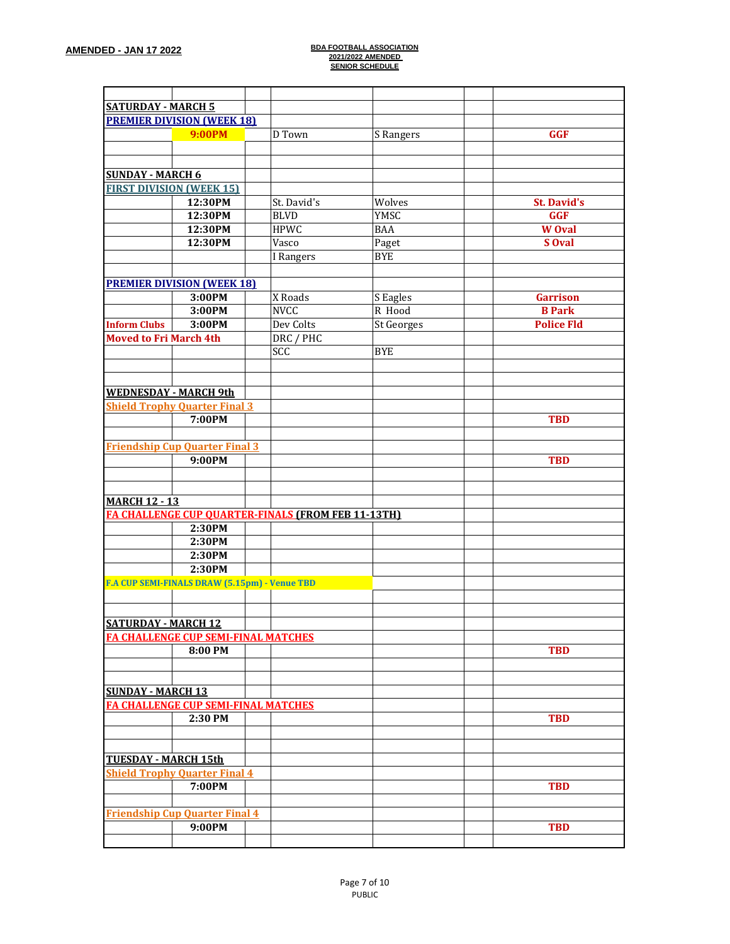| <b>SATURDAY - MARCH 5</b>                                 |             |                   |                    |  |
|-----------------------------------------------------------|-------------|-------------------|--------------------|--|
| <b>PREMIER DIVISION (WEEK 18)</b>                         |             |                   |                    |  |
| <b>9:00PM</b>                                             | D Town      | S Rangers         | <b>GGF</b>         |  |
|                                                           |             |                   |                    |  |
|                                                           |             |                   |                    |  |
| <b>SUNDAY - MARCH 6</b>                                   |             |                   |                    |  |
| <b>FIRST DIVISION (WEEK 15)</b>                           |             |                   |                    |  |
| 12:30PM                                                   | St. David's | Wolves            | <b>St. David's</b> |  |
| 12:30PM                                                   | <b>BLVD</b> | YMSC              | <b>GGF</b>         |  |
| 12:30PM                                                   | <b>HPWC</b> | <b>BAA</b>        | <b>W</b> Oval      |  |
| 12:30PM                                                   | Vasco       |                   | S Oval             |  |
|                                                           |             | Paget             |                    |  |
|                                                           | I Rangers   | <b>BYE</b>        |                    |  |
|                                                           |             |                   |                    |  |
| <b>PREMIER DIVISION (WEEK 18)</b>                         |             |                   |                    |  |
| 3:00PM                                                    | X Roads     | S Eagles          | <b>Garrison</b>    |  |
| 3:00PM                                                    | <b>NVCC</b> | R Hood            | <b>B</b> Park      |  |
| <b>Inform Clubs</b><br>3:00PM                             | Dev Colts   | <b>St Georges</b> | <b>Police Fld</b>  |  |
| <b>Moved to Fri March 4th</b>                             | DRC / PHC   |                   |                    |  |
|                                                           | SCC         | <b>BYE</b>        |                    |  |
|                                                           |             |                   |                    |  |
|                                                           |             |                   |                    |  |
| <b>WEDNESDAY - MARCH 9th</b>                              |             |                   |                    |  |
|                                                           |             |                   |                    |  |
| <b>Shield Trophy Quarter Final 3</b>                      |             |                   |                    |  |
| 7:00PM                                                    |             |                   | <b>TBD</b>         |  |
|                                                           |             |                   |                    |  |
| <b>Friendship Cup Quarter Final 3</b>                     |             |                   |                    |  |
| 9:00PM                                                    |             |                   | <b>TBD</b>         |  |
|                                                           |             |                   |                    |  |
|                                                           |             |                   |                    |  |
| <b>MARCH 12 - 13</b>                                      |             |                   |                    |  |
| <b>FA CHALLENGE CUP QUARTER-FINALS (FROM FEB 11-13TH)</b> |             |                   |                    |  |
| 2:30PM                                                    |             |                   |                    |  |
| 2:30PM                                                    |             |                   |                    |  |
| 2:30PM                                                    |             |                   |                    |  |
| 2:30PM                                                    |             |                   |                    |  |
| F.A CUP SEMI-FINALS DRAW (5.15pm) - Venue TBD             |             |                   |                    |  |
|                                                           |             |                   |                    |  |
|                                                           |             |                   |                    |  |
|                                                           |             |                   |                    |  |
| <b>SATURDAY - MARCH 12</b>                                |             |                   |                    |  |
| FA CHALLENGE CUP SEMI-FINAL MATCHES                       |             |                   |                    |  |
| 8:00 PM                                                   |             |                   | <b>TBD</b>         |  |
|                                                           |             |                   |                    |  |
|                                                           |             |                   |                    |  |
| <b>SUNDAY - MARCH 13</b>                                  |             |                   |                    |  |
| FA CHALLENGE CUP SEMI-FINAL MATCHES                       |             |                   |                    |  |
| 2:30 PM                                                   |             |                   | <b>TBD</b>         |  |
|                                                           |             |                   |                    |  |
|                                                           |             |                   |                    |  |
| <b>TUESDAY - MARCH 15th</b>                               |             |                   |                    |  |
| <b>Shield Trophy Quarter Final 4</b>                      |             |                   |                    |  |
|                                                           |             |                   |                    |  |
| 7:00PM                                                    |             |                   | <b>TBD</b>         |  |
|                                                           |             |                   |                    |  |
| <b>Friendship Cup Quarter Final 4</b>                     |             |                   |                    |  |
| 9:00PM                                                    |             |                   | <b>TBD</b>         |  |
|                                                           |             |                   |                    |  |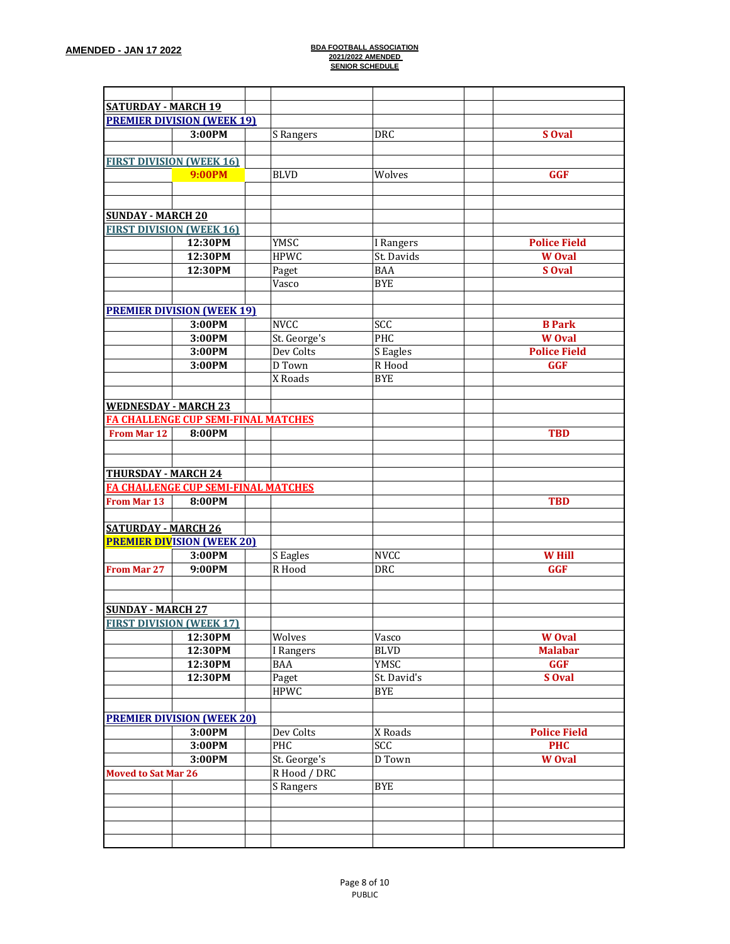| <b>SATURDAY - MARCH 19</b>                                  |                                            |                     |             |                     |
|-------------------------------------------------------------|--------------------------------------------|---------------------|-------------|---------------------|
|                                                             | <b>PREMIER DIVISION (WEEK 19)</b>          |                     |             |                     |
|                                                             |                                            |                     |             |                     |
|                                                             | 3:00PM                                     | S Rangers           | <b>DRC</b>  | S Oval              |
|                                                             |                                            |                     |             |                     |
| <b>FIRST DIVISION (WEEK 16)</b>                             |                                            |                     |             |                     |
|                                                             | <b>9:00PM</b>                              | <b>BLVD</b>         | Wolves      | <b>GGF</b>          |
|                                                             |                                            |                     |             |                     |
|                                                             |                                            |                     |             |                     |
| <b>SUNDAY - MARCH 20</b>                                    |                                            |                     |             |                     |
| <b>FIRST DIVISION (WEEK 16)</b>                             |                                            |                     |             |                     |
|                                                             | 12:30PM                                    | YMSC                | I Rangers   | <b>Police Field</b> |
|                                                             | 12:30PM                                    | <b>HPWC</b>         | St. Davids  | <b>W</b> Oval       |
|                                                             | 12:30PM                                    | Paget               | <b>BAA</b>  | S Oval              |
|                                                             |                                            | Vasco               | <b>BYE</b>  |                     |
|                                                             |                                            |                     |             |                     |
|                                                             | <b>PREMIER DIVISION (WEEK 19)</b>          |                     |             |                     |
|                                                             | 3:00PM                                     | <b>NVCC</b>         | SCC         | <b>B</b> Park       |
|                                                             | 3:00PM                                     | St. George's        | PHC         | <b>W</b> Oval       |
|                                                             | 3:00PM                                     | Dev Colts           | S Eagles    | <b>Police Field</b> |
|                                                             | 3:00PM                                     | D Town              | R Hood      | <b>GGF</b>          |
|                                                             |                                            | X Roads             | <b>BYE</b>  |                     |
|                                                             |                                            |                     |             |                     |
| <b>WEDNESDAY - MARCH 23</b>                                 |                                            |                     |             |                     |
|                                                             | <b>FA CHALLENGE CUP SEMI-FINAL MATCHES</b> |                     |             |                     |
| <b>From Mar 12</b>                                          | 8:00PM                                     |                     |             | <b>TBD</b>          |
|                                                             |                                            |                     |             |                     |
|                                                             |                                            |                     |             |                     |
| <b>THURSDAY - MARCH 24</b>                                  |                                            |                     |             |                     |
|                                                             | <b>FA CHALLENGE CUP SEMI-FINAL MATCHES</b> |                     |             |                     |
| <b>From Mar 13</b>                                          | 8:00PM                                     |                     |             | <b>TBD</b>          |
|                                                             |                                            |                     |             |                     |
| <b>SATURDAY - MARCH 26</b>                                  |                                            |                     |             |                     |
|                                                             | <b>PREMIER DIVISION (WEEK 20)</b>          |                     |             |                     |
|                                                             | 3:00PM                                     | S Eagles            | <b>NVCC</b> | <b>W</b> Hill       |
| From Mar 27                                                 | 9:00PM                                     | $\overline{R}$ Hood | <b>DRC</b>  | <b>GGF</b>          |
|                                                             |                                            |                     |             |                     |
|                                                             |                                            |                     |             |                     |
|                                                             |                                            |                     |             |                     |
| <b>SUNDAY - MARCH 27</b><br><b>FIRST DIVISION (WEEK 17)</b> |                                            |                     |             |                     |
|                                                             |                                            | Wolves              | Vasco       | <b>W</b> Oval       |
|                                                             | 12:30PM                                    |                     |             |                     |
|                                                             | 12:30PM                                    | I Rangers           | <b>BLVD</b> | <b>Malabar</b>      |
|                                                             | 12:30PM                                    | BAA                 | YMSC        | <b>GGF</b>          |
|                                                             | 12:30PM                                    | Paget               | St. David's | S Oval              |
|                                                             |                                            | <b>HPWC</b>         | <b>BYE</b>  |                     |
|                                                             |                                            |                     |             |                     |
|                                                             | <b>PREMIER DIVISION (WEEK 20)</b>          |                     |             |                     |
|                                                             | 3:00PM                                     | Dev Colts           | X Roads     | <b>Police Field</b> |
|                                                             | 3:00PM                                     | PHC                 | SCC         | <b>PHC</b>          |
|                                                             | 3:00PM                                     | St. George's        | D Town      | <b>W</b> Oval       |
| <b>Moved to Sat Mar 26</b>                                  |                                            | R Hood / DRC        |             |                     |
|                                                             |                                            | S Rangers           | <b>BYE</b>  |                     |
|                                                             |                                            |                     |             |                     |
|                                                             |                                            |                     |             |                     |
|                                                             |                                            |                     |             |                     |
|                                                             |                                            |                     |             |                     |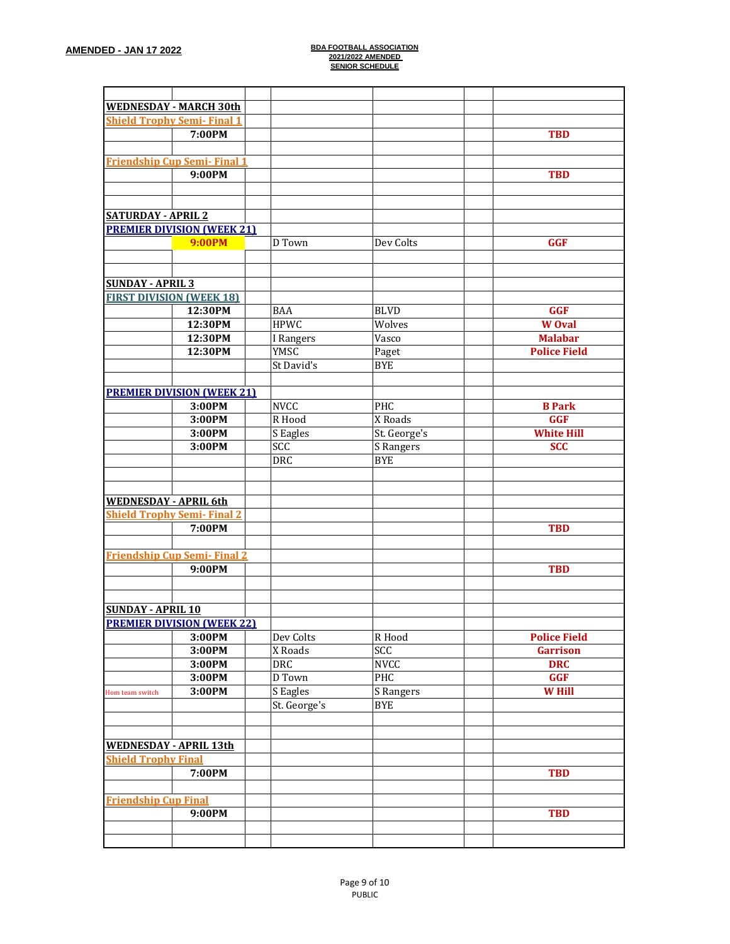|                               | <b>WEDNESDAY - MARCH 30th</b>      |              |              |                     |
|-------------------------------|------------------------------------|--------------|--------------|---------------------|
|                               | <b>Shield Trophy Semi-Final 1</b>  |              |              |                     |
|                               | 7:00PM                             |              |              | <b>TBD</b>          |
|                               |                                    |              |              |                     |
|                               | <b>Friendship Cup Semi-Final 1</b> |              |              |                     |
|                               |                                    |              |              |                     |
|                               | 9:00PM                             |              |              | <b>TBD</b>          |
|                               |                                    |              |              |                     |
|                               |                                    |              |              |                     |
| <b>SATURDAY - APRIL 2</b>     |                                    |              |              |                     |
|                               | <b>PREMIER DIVISION (WEEK 21)</b>  |              |              |                     |
|                               | <b>9:00PM</b>                      | D Town       | Dev Colts    | <b>GGF</b>          |
|                               |                                    |              |              |                     |
|                               |                                    |              |              |                     |
| <b>SUNDAY - APRIL 3</b>       |                                    |              |              |                     |
|                               | <b>FIRST DIVISION (WEEK 18)</b>    |              |              |                     |
|                               | 12:30PM                            | <b>BAA</b>   | <b>BLVD</b>  | <b>GGF</b>          |
|                               | 12:30PM                            | <b>HPWC</b>  | Wolves       | <b>W</b> Oval       |
|                               | 12:30PM                            | I Rangers    | Vasco        | <b>Malabar</b>      |
|                               | 12:30PM                            | YMSC         | Paget        | <b>Police Field</b> |
|                               |                                    | St David's   | <b>BYE</b>   |                     |
|                               |                                    |              |              |                     |
|                               | <b>PREMIER DIVISION (WEEK 21)</b>  |              |              |                     |
|                               | 3:00PM                             | <b>NVCC</b>  | PHC          | <b>B</b> Park       |
|                               | 3:00PM                             | R Hood       | X Roads      | <b>GGF</b>          |
|                               | 3:00PM                             | S Eagles     | St. George's | <b>White Hill</b>   |
|                               | 3:00PM                             | SCC          | S Rangers    | <b>SCC</b>          |
|                               |                                    | <b>DRC</b>   | <b>BYE</b>   |                     |
|                               |                                    |              |              |                     |
|                               |                                    |              |              |                     |
|                               |                                    |              |              |                     |
| <b>WEDNESDAY - APRIL 6th</b>  |                                    |              |              |                     |
|                               | <b>Shield Trophy Semi-Final 2</b>  |              |              |                     |
|                               | 7:00PM                             |              |              | <b>TBD</b>          |
|                               |                                    |              |              |                     |
|                               | <b>Friendship Cup Semi-Final 2</b> |              |              |                     |
|                               | 9:00PM                             |              |              | <b>TBD</b>          |
|                               |                                    |              |              |                     |
|                               |                                    |              |              |                     |
| <b>SUNDAY - APRIL 10</b>      |                                    |              |              |                     |
|                               | <b>PREMIER DIVISION (WEEK 22)</b>  |              |              |                     |
|                               | 3:00PM                             | Dev Colts    | R Hood       | <b>Police Field</b> |
|                               | 3:00PM                             | X Roads      | SCC          | <b>Garrison</b>     |
|                               | 3:00PM                             | DRC          | NVCC         | <b>DRC</b>          |
|                               | 3:00PM                             | D Town       | PHC          | <b>GGF</b>          |
| Hom team switch               | 3:00PM                             | S Eagles     | S Rangers    | <b>W</b> Hill       |
|                               |                                    | St. George's | <b>BYE</b>   |                     |
|                               |                                    |              |              |                     |
|                               |                                    |              |              |                     |
| <b>WEDNESDAY - APRIL 13th</b> |                                    |              |              |                     |
| <b>Shield Trophy Final</b>    |                                    |              |              |                     |
|                               |                                    |              |              |                     |
|                               | 7:00PM                             |              |              | <b>TBD</b>          |
|                               |                                    |              |              |                     |
| <b>Friendship Cup Final</b>   |                                    |              |              |                     |
|                               | 9:00PM                             |              |              | <b>TBD</b>          |
|                               |                                    |              |              |                     |
|                               |                                    |              |              |                     |